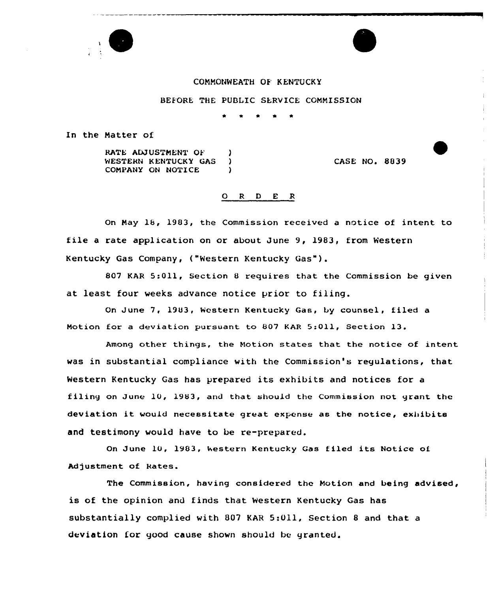

## COMMONWEATH OF KENTUCKY

BEFORE THE PUBLIC SERVICE COMMISSION

In the Natter of

RATE ADJUSTMENT OF (1) WESTERN KENTUCKY GAS COMPANY ON NOTICE

CASE NO. 8839

## 0 <sup>R</sup> <sup>D</sup> E R

On Nay 18, 1983, the Commission received a notice of intent to file <sup>a</sup> rate application on or about June 9, 1983, from Western Kentucky Gas Company, ("Western Kentucky Gas").

807 KAR 5:011, Section <sup>8</sup> requires that the Commission be given at least four weeks advance notice prior to filing.

On June 7, 1903, Western Kentucky Gas, by counsel, filed a Motion for a deviation pursuant to 807 KAR 5:011, Section 13.

Among other things, the Notion states that the notice of intent was in substantial compliance with the Commission's regulations, that Western Kentucky Gas has prepared its exhibits and notices for <sup>a</sup> filing on June 10, 1983, and that should the Commission not grant the deviation it would necessitate great expense as the notice, exhibits and testimony would have to be re-prepared.

On June 10, 1903, western Kentucky Gas filed its Notice of Adjustment of Rates.

The Commission, having considered the Notion and being advised, is of the opinion and finds that Western Kentucky Gas has substantially complied with 807 KAR 5:Oil, Section <sup>8</sup> and that a deviation for good cause shown should be granted.